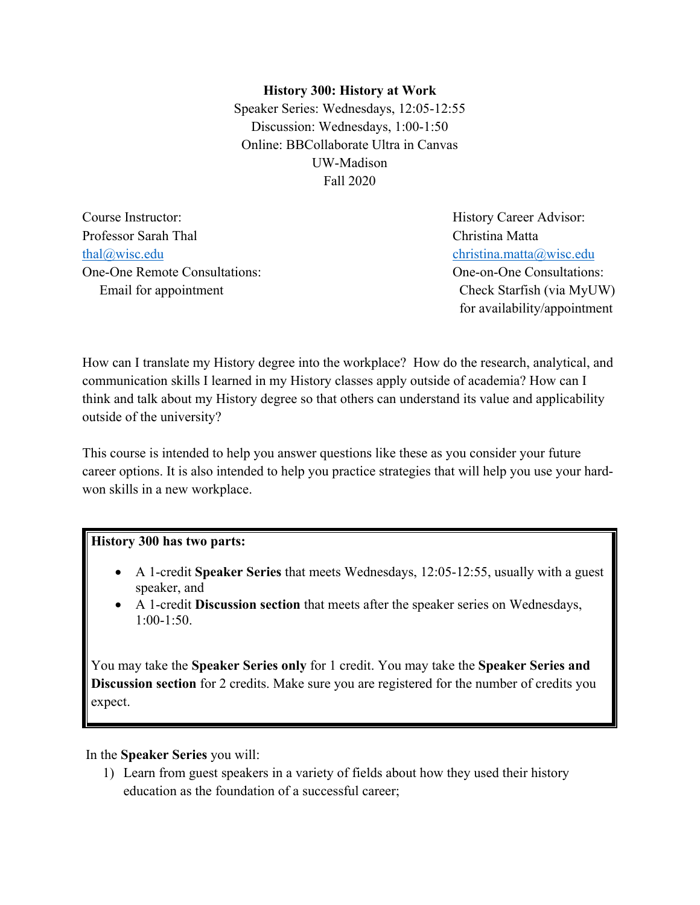#### **History 300: History at Work**

Speaker Series: Wednesdays, 12:05-12:55 Discussion: Wednesdays, 1:00-1:50 Online: BBCollaborate Ultra in Canvas UW-Madison Fall 2020

Professor Sarah Thal Christina Matta thal@wisc.edu christina.matta@wisc.edu One-One Remote Consultations: One-on-One Consultations: Email for appointment Check Starfish (via MyUW)

Course Instructor: **History Career Advisor:** History Career Advisor: for availability/appointment

How can I translate my History degree into the workplace? How do the research, analytical, and communication skills I learned in my History classes apply outside of academia? How can I think and talk about my History degree so that others can understand its value and applicability outside of the university?

This course is intended to help you answer questions like these as you consider your future career options. It is also intended to help you practice strategies that will help you use your hardwon skills in a new workplace.

#### **History 300 has two parts:**

- A 1-credit **Speaker Series** that meets Wednesdays, 12:05-12:55, usually with a guest speaker, and
- A 1-credit **Discussion section** that meets after the speaker series on Wednesdays, 1:00-1:50.

You may take the **Speaker Series only** for 1 credit. You may take the **Speaker Series and Discussion section** for 2 credits. Make sure you are registered for the number of credits you expect.

In the **Speaker Series** you will:

1) Learn from guest speakers in a variety of fields about how they used their history education as the foundation of a successful career;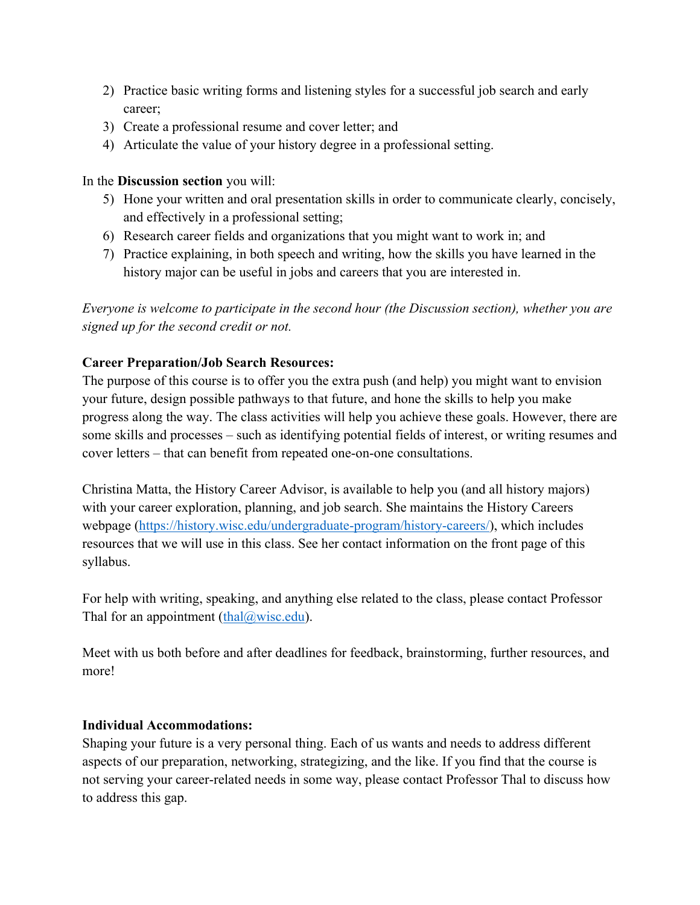- 2) Practice basic writing forms and listening styles for a successful job search and early career;
- 3) Create a professional resume and cover letter; and
- 4) Articulate the value of your history degree in a professional setting.

### In the **Discussion section** you will:

- 5) Hone your written and oral presentation skills in order to communicate clearly, concisely, and effectively in a professional setting;
- 6) Research career fields and organizations that you might want to work in; and
- 7) Practice explaining, in both speech and writing, how the skills you have learned in the history major can be useful in jobs and careers that you are interested in.

*Everyone is welcome to participate in the second hour (the Discussion section), whether you are signed up for the second credit or not.* 

# **Career Preparation/Job Search Resources:**

The purpose of this course is to offer you the extra push (and help) you might want to envision your future, design possible pathways to that future, and hone the skills to help you make progress along the way. The class activities will help you achieve these goals. However, there are some skills and processes – such as identifying potential fields of interest, or writing resumes and cover letters – that can benefit from repeated one-on-one consultations.

Christina Matta, the History Career Advisor, is available to help you (and all history majors) with your career exploration, planning, and job search. She maintains the History Careers webpage (https://history.wisc.edu/undergraduate-program/history-careers/), which includes resources that we will use in this class. See her contact information on the front page of this syllabus.

For help with writing, speaking, and anything else related to the class, please contact Professor Thal for an appointment (thal $@$ wisc.edu).

Meet with us both before and after deadlines for feedback, brainstorming, further resources, and more!

### **Individual Accommodations:**

Shaping your future is a very personal thing. Each of us wants and needs to address different aspects of our preparation, networking, strategizing, and the like. If you find that the course is not serving your career-related needs in some way, please contact Professor Thal to discuss how to address this gap.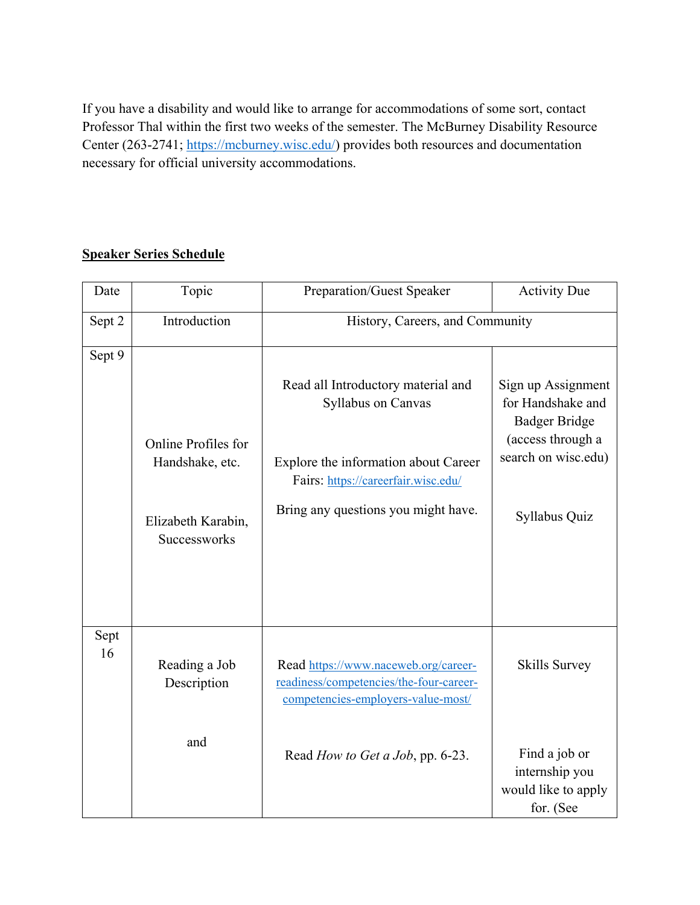If you have a disability and would like to arrange for accommodations of some sort, contact Professor Thal within the first two weeks of the semester. The McBurney Disability Resource Center (263-2741; https://mcburney.wisc.edu/) provides both resources and documentation necessary for official university accommodations.

### **Speaker Series Schedule**

| Date       | Topic                                                                        | Preparation/Guest Speaker                                                                                                                                                      | <b>Activity Due</b>                                                                                                          |
|------------|------------------------------------------------------------------------------|--------------------------------------------------------------------------------------------------------------------------------------------------------------------------------|------------------------------------------------------------------------------------------------------------------------------|
| Sept 2     | Introduction                                                                 | History, Careers, and Community                                                                                                                                                |                                                                                                                              |
| Sept 9     | Online Profiles for<br>Handshake, etc.<br>Elizabeth Karabin,<br>Successworks | Read all Introductory material and<br>Syllabus on Canvas<br>Explore the information about Career<br>Fairs: https://careerfair.wisc.edu/<br>Bring any questions you might have. | Sign up Assignment<br>for Handshake and<br><b>Badger Bridge</b><br>(access through a<br>search on wisc.edu)<br>Syllabus Quiz |
| Sept<br>16 | Reading a Job<br>Description                                                 | Read https://www.naceweb.org/career-<br>readiness/competencies/the-four-career-<br>competencies-employers-value-most/                                                          | Skills Survey                                                                                                                |
|            | and                                                                          | Read <i>How to Get a Job</i> , pp. 6-23.                                                                                                                                       | Find a job or<br>internship you<br>would like to apply<br>for. (See                                                          |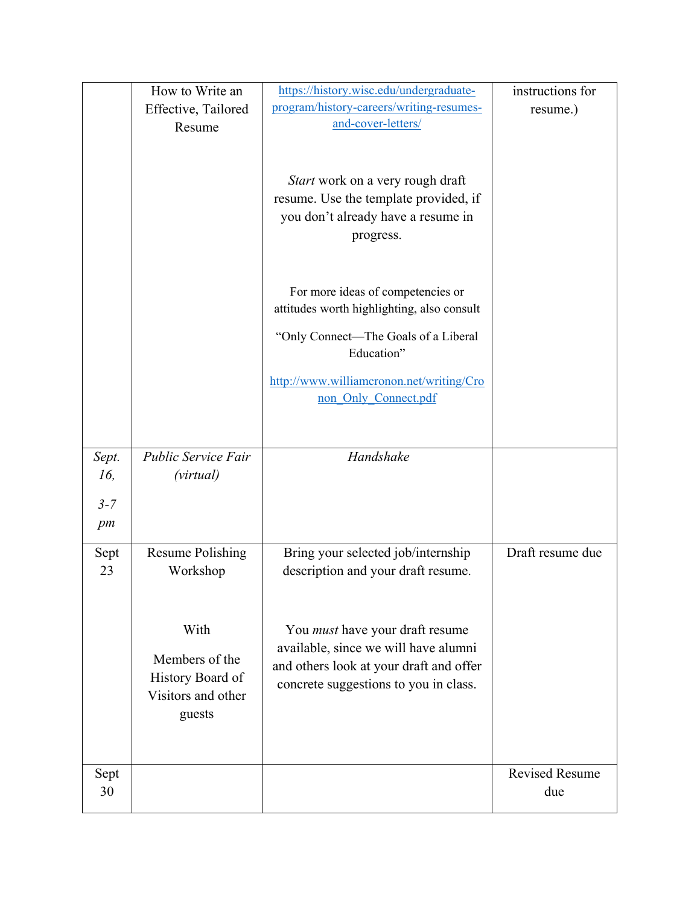|         | How to Write an                        | https://history.wisc.edu/undergraduate-                                         | instructions for      |
|---------|----------------------------------------|---------------------------------------------------------------------------------|-----------------------|
|         | Effective, Tailored                    | program/history-careers/writing-resumes-                                        | resume.)              |
|         | Resume                                 | and-cover-letters/                                                              |                       |
|         |                                        |                                                                                 |                       |
|         |                                        |                                                                                 |                       |
|         |                                        | Start work on a very rough draft                                                |                       |
|         |                                        | resume. Use the template provided, if                                           |                       |
|         |                                        | you don't already have a resume in                                              |                       |
|         |                                        | progress.                                                                       |                       |
|         |                                        |                                                                                 |                       |
|         |                                        |                                                                                 |                       |
|         |                                        | For more ideas of competencies or<br>attitudes worth highlighting, also consult |                       |
|         |                                        |                                                                                 |                       |
|         |                                        | "Only Connect—The Goals of a Liberal                                            |                       |
|         |                                        | Education"                                                                      |                       |
|         |                                        | http://www.williamcronon.net/writing/Cro                                        |                       |
|         |                                        | non Only Connect.pdf                                                            |                       |
|         |                                        |                                                                                 |                       |
|         |                                        |                                                                                 |                       |
| Sept.   | Public Service Fair                    | Handshake                                                                       |                       |
| 16,     | (virtual)                              |                                                                                 |                       |
|         |                                        |                                                                                 |                       |
|         |                                        |                                                                                 |                       |
| $3 - 7$ |                                        |                                                                                 |                       |
| pm      |                                        |                                                                                 |                       |
| Sept    | <b>Resume Polishing</b>                | Bring your selected job/internship                                              | Draft resume due      |
| 23      | Workshop                               | description and your draft resume.                                              |                       |
|         |                                        |                                                                                 |                       |
|         |                                        |                                                                                 |                       |
|         | With                                   | You <i>must</i> have your draft resume                                          |                       |
|         |                                        | available, since we will have alumni                                            |                       |
|         | Members of the                         | and others look at your draft and offer                                         |                       |
|         | History Board of<br>Visitors and other | concrete suggestions to you in class.                                           |                       |
|         |                                        |                                                                                 |                       |
|         | guests                                 |                                                                                 |                       |
|         |                                        |                                                                                 |                       |
| Sept    |                                        |                                                                                 | <b>Revised Resume</b> |
| 30      |                                        |                                                                                 | due                   |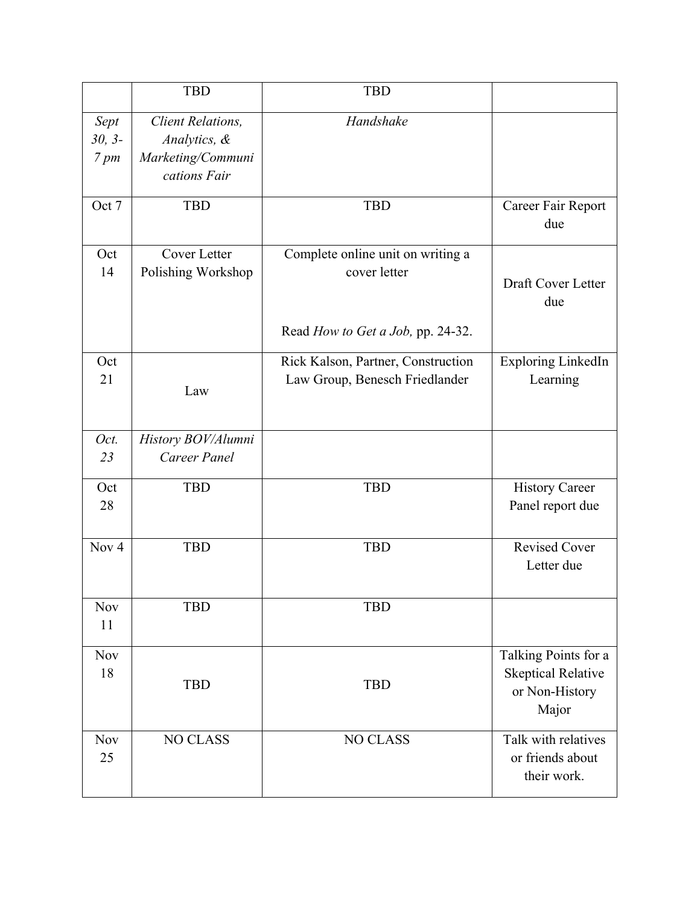|                                      | <b>TBD</b>                                                                    | <b>TBD</b>                                                                             |                                                                              |
|--------------------------------------|-------------------------------------------------------------------------------|----------------------------------------------------------------------------------------|------------------------------------------------------------------------------|
| Sept<br>$30, 3-$<br>$7 \, \text{pm}$ | <b>Client Relations,</b><br>Analytics, &<br>Marketing/Communi<br>cations Fair | Handshake                                                                              |                                                                              |
| Oct 7                                | <b>TBD</b>                                                                    | <b>TBD</b>                                                                             | Career Fair Report<br>due                                                    |
| Oct<br>14                            | Cover Letter<br>Polishing Workshop                                            | Complete online unit on writing a<br>cover letter<br>Read How to Get a Job, pp. 24-32. | Draft Cover Letter<br>due                                                    |
| Oct<br>21                            | Law                                                                           | Rick Kalson, Partner, Construction<br>Law Group, Benesch Friedlander                   | Exploring LinkedIn<br>Learning                                               |
| Oct.<br>23                           | History BOV/Alumni<br>Career Panel                                            |                                                                                        |                                                                              |
| Oct<br>28                            | <b>TBD</b>                                                                    | <b>TBD</b>                                                                             | <b>History Career</b><br>Panel report due                                    |
| Nov <sub>4</sub>                     | <b>TBD</b>                                                                    | <b>TBD</b>                                                                             | <b>Revised Cover</b><br>Letter due                                           |
| <b>Nov</b><br>11                     | <b>TBD</b>                                                                    | <b>TBD</b>                                                                             |                                                                              |
| <b>Nov</b><br>18                     | <b>TBD</b>                                                                    | <b>TBD</b>                                                                             | Talking Points for a<br><b>Skeptical Relative</b><br>or Non-History<br>Major |
| <b>Nov</b><br>25                     | NO CLASS                                                                      | <b>NO CLASS</b>                                                                        | Talk with relatives<br>or friends about<br>their work.                       |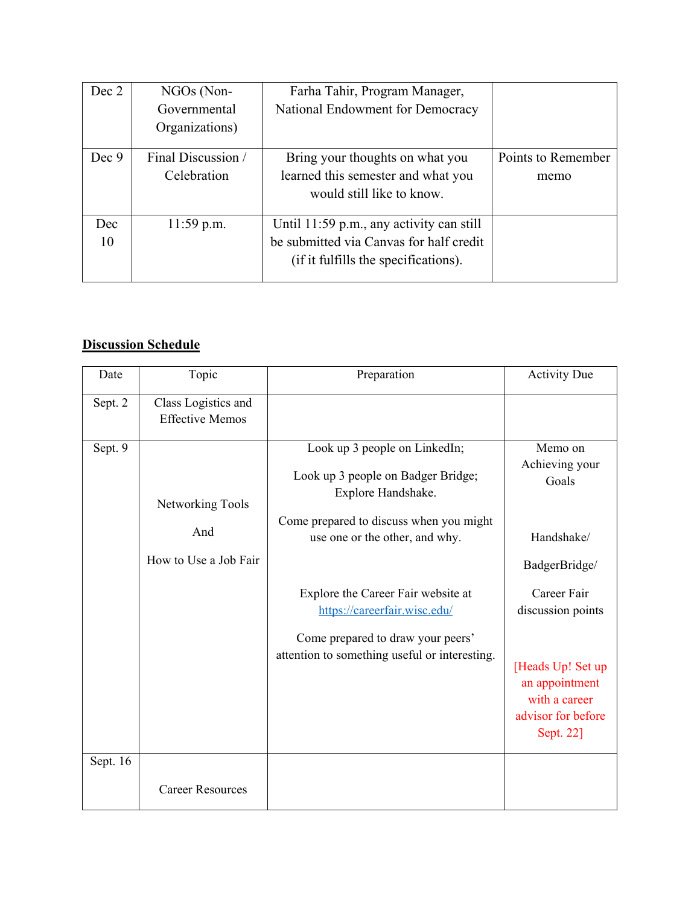| Dec 2 | NGOs (Non-         | Farha Tahir, Program Manager,            |                    |
|-------|--------------------|------------------------------------------|--------------------|
|       | Governmental       | National Endowment for Democracy         |                    |
|       | Organizations)     |                                          |                    |
| Dec 9 | Final Discussion / | Bring your thoughts on what you          | Points to Remember |
|       | Celebration        | learned this semester and what you       | memo               |
|       |                    | would still like to know.                |                    |
| Dec   | $11:59$ p.m.       | Until 11:59 p.m., any activity can still |                    |
| 10    |                    | be submitted via Canvas for half credit  |                    |
|       |                    | (if it fulfills the specifications).     |                    |

# **Discussion Schedule**

| Date     | Topic                                         | Preparation                                                                               | <b>Activity Due</b>                                                                     |
|----------|-----------------------------------------------|-------------------------------------------------------------------------------------------|-----------------------------------------------------------------------------------------|
| Sept. 2  | Class Logistics and<br><b>Effective Memos</b> |                                                                                           |                                                                                         |
| Sept. 9  | Networking Tools                              | Look up 3 people on LinkedIn;<br>Look up 3 people on Badger Bridge;<br>Explore Handshake. | Memo on<br>Achieving your<br>Goals                                                      |
|          | And<br>How to Use a Job Fair                  | Come prepared to discuss when you might<br>use one or the other, and why.                 | Handshake/<br>BadgerBridge/                                                             |
|          |                                               | Explore the Career Fair website at<br>https://careerfair.wisc.edu/                        | Career Fair<br>discussion points                                                        |
|          |                                               | Come prepared to draw your peers'<br>attention to something useful or interesting.        | [Heads Up! Set up<br>an appointment<br>with a career<br>advisor for before<br>Sept. 22] |
| Sept. 16 | <b>Career Resources</b>                       |                                                                                           |                                                                                         |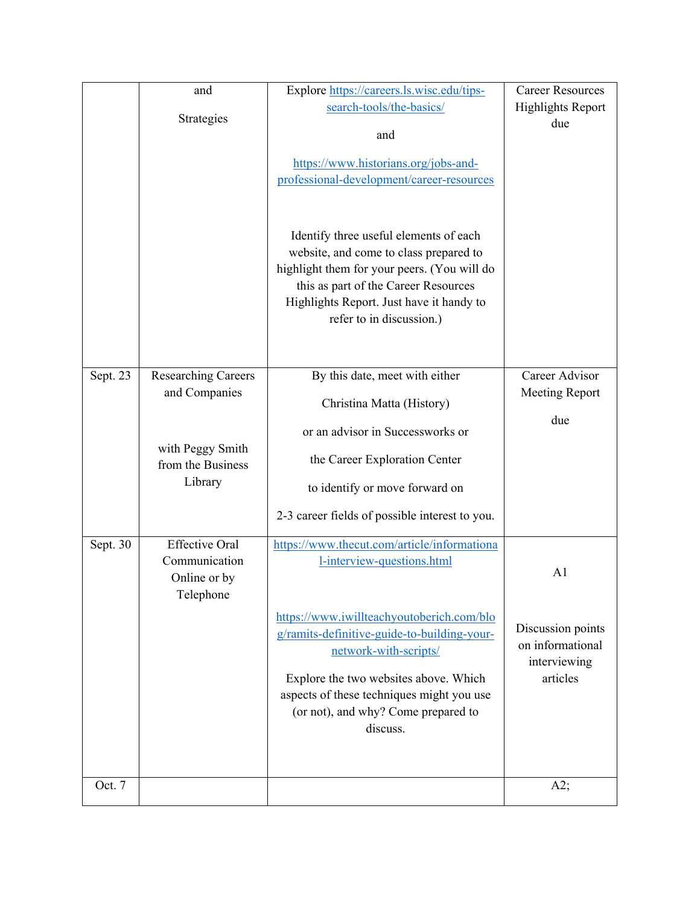|          | and                                                                 | Explore https://careers.ls.wisc.edu/tips-                                                                                                                                                                                                       | <b>Career Resources</b>                               |
|----------|---------------------------------------------------------------------|-------------------------------------------------------------------------------------------------------------------------------------------------------------------------------------------------------------------------------------------------|-------------------------------------------------------|
|          | Strategies                                                          | search-tools/the-basics/                                                                                                                                                                                                                        | <b>Highlights Report</b><br>due                       |
|          |                                                                     | and                                                                                                                                                                                                                                             |                                                       |
|          |                                                                     | https://www.historians.org/jobs-and-                                                                                                                                                                                                            |                                                       |
|          |                                                                     | professional-development/career-resources                                                                                                                                                                                                       |                                                       |
|          |                                                                     | Identify three useful elements of each<br>website, and come to class prepared to<br>highlight them for your peers. (You will do<br>this as part of the Career Resources<br>Highlights Report. Just have it handy to<br>refer to in discussion.) |                                                       |
| Sept. 23 | <b>Researching Careers</b>                                          | By this date, meet with either                                                                                                                                                                                                                  | Career Advisor                                        |
|          | and Companies                                                       | Christina Matta (History)                                                                                                                                                                                                                       | <b>Meeting Report</b>                                 |
|          |                                                                     | or an advisor in Successworks or                                                                                                                                                                                                                | due                                                   |
|          | with Peggy Smith                                                    | the Career Exploration Center                                                                                                                                                                                                                   |                                                       |
|          | from the Business<br>Library                                        |                                                                                                                                                                                                                                                 |                                                       |
|          |                                                                     | to identify or move forward on                                                                                                                                                                                                                  |                                                       |
|          |                                                                     | 2-3 career fields of possible interest to you.                                                                                                                                                                                                  |                                                       |
| Sept. 30 | <b>Effective Oral</b><br>Communication<br>Online or by<br>Telephone | https://www.thecut.com/article/informationa<br>1-interview-questions.html                                                                                                                                                                       | A <sub>1</sub>                                        |
|          |                                                                     | https://www.iwillteachyoutoberich.com/blo<br>g/ramits-definitive-guide-to-building-your-<br>network-with-scripts/                                                                                                                               | Discussion points<br>on informational<br>interviewing |
|          |                                                                     | Explore the two websites above. Which<br>aspects of these techniques might you use<br>(or not), and why? Come prepared to<br>discuss.                                                                                                           | articles                                              |
|          |                                                                     |                                                                                                                                                                                                                                                 |                                                       |
| Oct. 7   |                                                                     |                                                                                                                                                                                                                                                 | A2;                                                   |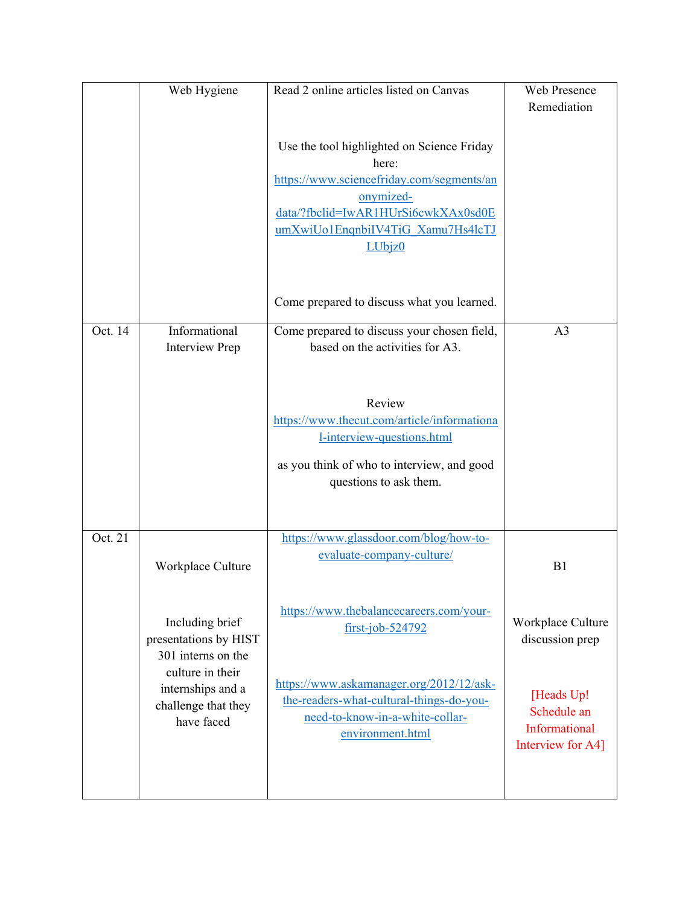|         | Web Hygiene                                                                | Read 2 online articles listed on Canvas                                                                                                                                                             | Web Presence<br>Remediation                                     |
|---------|----------------------------------------------------------------------------|-----------------------------------------------------------------------------------------------------------------------------------------------------------------------------------------------------|-----------------------------------------------------------------|
|         |                                                                            | Use the tool highlighted on Science Friday<br>here:<br>https://www.sciencefriday.com/segments/an<br>onymized-<br>data/?fbclid=IwAR1HUrSi6cwkXAx0sd0E<br>umXwiUo1EnqnbiIV4TiG Xamu7Hs4lcTJ<br>LUbjz0 |                                                                 |
|         |                                                                            | Come prepared to discuss what you learned.                                                                                                                                                          |                                                                 |
| Oct. 14 | Informational<br><b>Interview Prep</b>                                     | Come prepared to discuss your chosen field,<br>based on the activities for A3.                                                                                                                      | A <sub>3</sub>                                                  |
|         |                                                                            | Review<br>https://www.thecut.com/article/informationa<br>l-interview-questions.html<br>as you think of who to interview, and good<br>questions to ask them.                                         |                                                                 |
| Oct. 21 | Workplace Culture                                                          | https://www.glassdoor.com/blog/how-to-<br>evaluate-company-culture/                                                                                                                                 | B1                                                              |
|         | Including brief<br>presentations by HIST<br>301 interns on the             | https://www.thebalancecareers.com/your-<br>$first-job-524792$                                                                                                                                       | Workplace Culture<br>discussion prep                            |
|         | culture in their<br>internships and a<br>challenge that they<br>have faced | https://www.askamanager.org/2012/12/ask-<br>the-readers-what-cultural-things-do-you-<br>need-to-know-in-a-white-collar-<br>environment.html                                                         | [Heads Up!<br>Schedule an<br>Informational<br>Interview for A4] |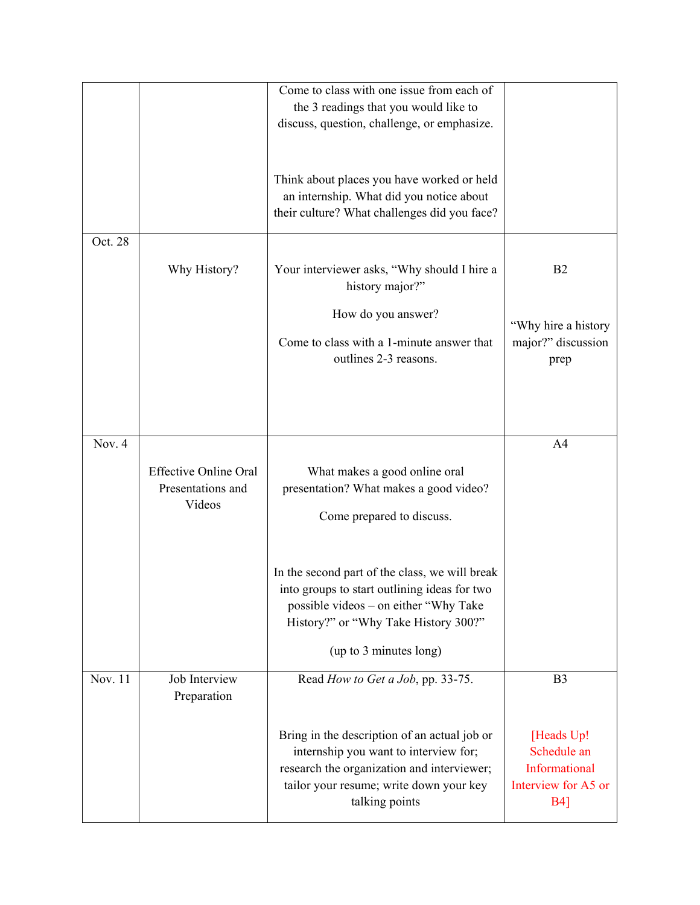|         |                                                             | Come to class with one issue from each of<br>the 3 readings that you would like to<br>discuss, question, challenge, or emphasize.                                                                         |                                                                                  |
|---------|-------------------------------------------------------------|-----------------------------------------------------------------------------------------------------------------------------------------------------------------------------------------------------------|----------------------------------------------------------------------------------|
|         |                                                             | Think about places you have worked or held<br>an internship. What did you notice about<br>their culture? What challenges did you face?                                                                    |                                                                                  |
| Oct. 28 |                                                             |                                                                                                                                                                                                           |                                                                                  |
|         | Why History?                                                | Your interviewer asks, "Why should I hire a<br>history major?"                                                                                                                                            | B <sub>2</sub>                                                                   |
|         |                                                             | How do you answer?<br>Come to class with a 1-minute answer that<br>outlines 2-3 reasons.                                                                                                                  | "Why hire a history<br>major?" discussion<br>prep                                |
|         |                                                             |                                                                                                                                                                                                           |                                                                                  |
| Nov. 4  | <b>Effective Online Oral</b><br>Presentations and<br>Videos | What makes a good online oral<br>presentation? What makes a good video?<br>Come prepared to discuss.                                                                                                      | A4                                                                               |
|         |                                                             | In the second part of the class, we will break<br>into groups to start outlining ideas for two<br>possible videos – on either "Why Take<br>History?" or "Why Take History 300?"<br>(up to 3 minutes long) |                                                                                  |
| Nov. 11 | Job Interview<br>Preparation                                | Read How to Get a Job, pp. 33-75.                                                                                                                                                                         | B <sub>3</sub>                                                                   |
|         |                                                             | Bring in the description of an actual job or<br>internship you want to interview for;<br>research the organization and interviewer;<br>tailor your resume; write down your key<br>talking points          | [Heads Up!<br>Schedule an<br>Informational<br>Interview for A5 or<br><b>B4</b> ] |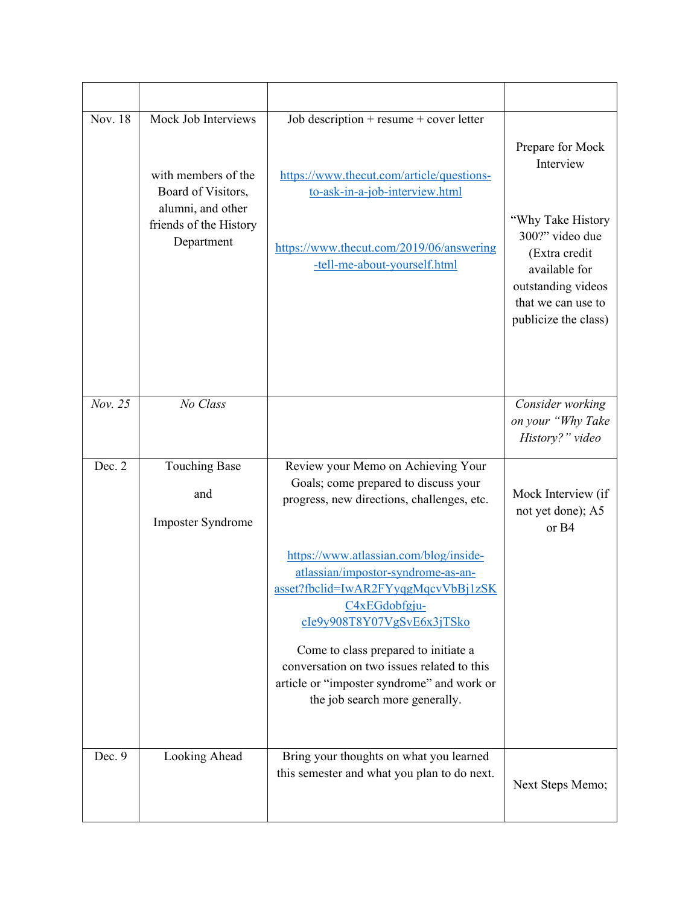| Nov. 18 | Mock Job Interviews<br>with members of the<br>Board of Visitors,<br>alumni, and other<br>friends of the History<br>Department | Job description + resume + cover letter<br>https://www.thecut.com/article/questions-<br>to-ask-in-a-job-interview.html<br>https://www.thecut.com/2019/06/answering<br>-tell-me-about-yourself.html                                                                                                                                     | Prepare for Mock<br>Interview<br>"Why Take History<br>300?" video due<br>(Extra credit<br>available for<br>outstanding videos<br>that we can use to<br>publicize the class) |
|---------|-------------------------------------------------------------------------------------------------------------------------------|----------------------------------------------------------------------------------------------------------------------------------------------------------------------------------------------------------------------------------------------------------------------------------------------------------------------------------------|-----------------------------------------------------------------------------------------------------------------------------------------------------------------------------|
| Nov. 25 | No Class                                                                                                                      |                                                                                                                                                                                                                                                                                                                                        | Consider working<br>on your "Why Take<br>History?" video                                                                                                                    |
| Dec. 2  | <b>Touching Base</b><br>and<br>Imposter Syndrome                                                                              | Review your Memo on Achieving Your<br>Goals; come prepared to discuss your<br>progress, new directions, challenges, etc.<br>https://www.atlassian.com/blog/inside-<br>atlassian/impostor-syndrome-as-an-<br>asset?fbclid=IwAR2FYyqgMqcvVbBj1zSK<br>C4xEGdobfgju-<br>cIe9y908T8Y07VgSvE6x3jTSko<br>Come to class prepared to initiate a | Mock Interview (if<br>not yet done); A5<br>or B4                                                                                                                            |
| Dec. 9  | Looking Ahead                                                                                                                 | conversation on two issues related to this<br>article or "imposter syndrome" and work or<br>the job search more generally.<br>Bring your thoughts on what you learned<br>this semester and what you plan to do next.                                                                                                                   | Next Steps Memo;                                                                                                                                                            |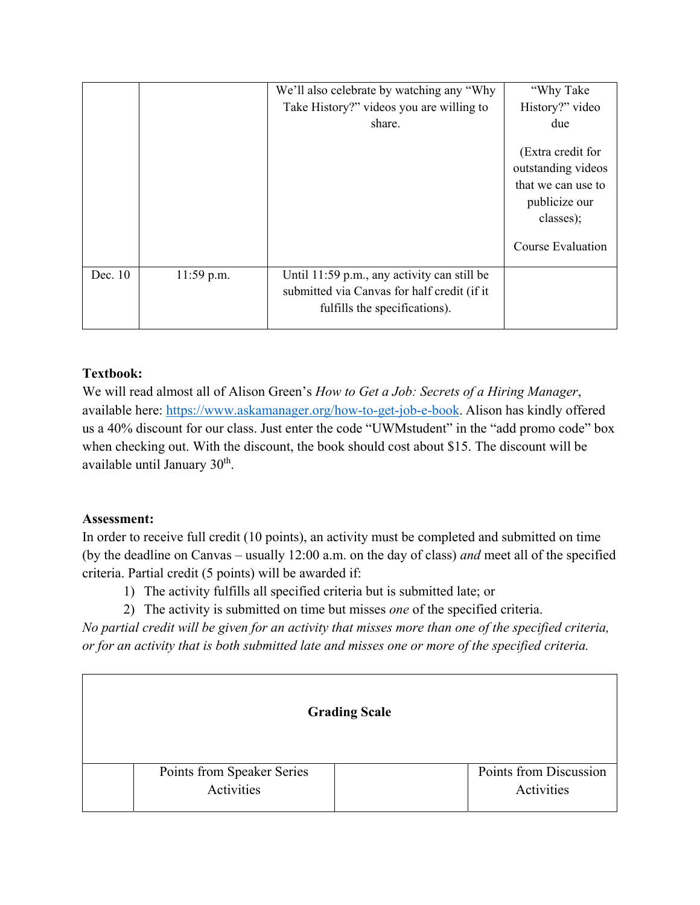|         |            | We'll also celebrate by watching any "Why"<br>Take History?" videos you are willing to<br>share.                            | "Why Take<br>History?" video<br>due                                                                              |
|---------|------------|-----------------------------------------------------------------------------------------------------------------------------|------------------------------------------------------------------------------------------------------------------|
|         |            |                                                                                                                             | (Extra credit for<br>outstanding videos<br>that we can use to<br>publicize our<br>classes);<br>Course Evaluation |
| Dec. 10 | 11:59 p.m. | Until 11:59 p.m., any activity can still be<br>submitted via Canvas for half credit (if it<br>fulfills the specifications). |                                                                                                                  |

# **Textbook:**

We will read almost all of Alison Green's *How to Get a Job: Secrets of a Hiring Manager*, available here: https://www.askamanager.org/how-to-get-job-e-book. Alison has kindly offered us a 40% discount for our class. Just enter the code "UWMstudent" in the "add promo code" box when checking out. With the discount, the book should cost about \$15. The discount will be available until January 30<sup>th</sup>.

# **Assessment:**

In order to receive full credit (10 points), an activity must be completed and submitted on time (by the deadline on Canvas – usually 12:00 a.m. on the day of class) *and* meet all of the specified criteria. Partial credit (5 points) will be awarded if:

- 1) The activity fulfills all specified criteria but is submitted late; or
- 2) The activity is submitted on time but misses *one* of the specified criteria.

*No partial credit will be given for an activity that misses more than one of the specified criteria, or for an activity that is both submitted late and misses one or more of the specified criteria.*

| <b>Grading Scale</b>       |                        |  |
|----------------------------|------------------------|--|
| Points from Speaker Series | Points from Discussion |  |
| Activities                 | Activities             |  |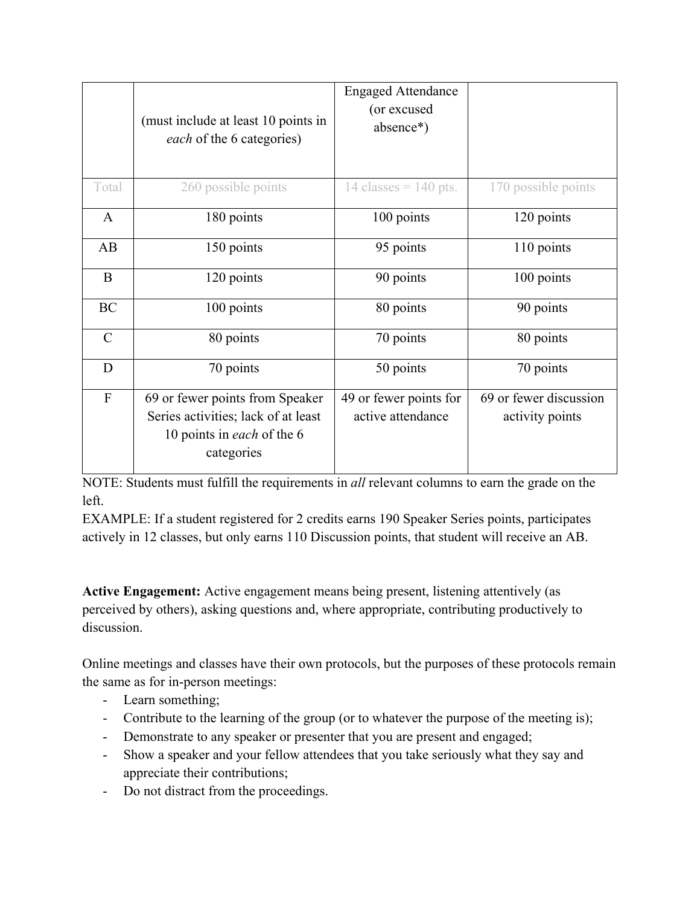|                | (must include at least 10 points in<br>each of the 6 categories)                                                   | <b>Engaged Attendance</b><br>(or excused<br>absence*) |                                           |
|----------------|--------------------------------------------------------------------------------------------------------------------|-------------------------------------------------------|-------------------------------------------|
| Total          | 260 possible points                                                                                                | 14 classes = $140$ pts.                               | 170 possible points                       |
| A              | 180 points                                                                                                         | 100 points                                            | 120 points                                |
| AB             | 150 points                                                                                                         | 95 points                                             | 110 points                                |
| B              | 120 points                                                                                                         | 90 points                                             | 100 points                                |
| BC             | 100 points                                                                                                         | 80 points                                             | 90 points                                 |
| $\mathbf C$    | 80 points                                                                                                          | 70 points                                             | 80 points                                 |
| D              | 70 points                                                                                                          | 50 points                                             | 70 points                                 |
| $\overline{F}$ | 69 or fewer points from Speaker<br>Series activities; lack of at least<br>10 points in each of the 6<br>categories | 49 or fewer points for<br>active attendance           | 69 or fewer discussion<br>activity points |

NOTE: Students must fulfill the requirements in *all* relevant columns to earn the grade on the left.

EXAMPLE: If a student registered for 2 credits earns 190 Speaker Series points, participates actively in 12 classes, but only earns 110 Discussion points, that student will receive an AB.

**Active Engagement:** Active engagement means being present, listening attentively (as perceived by others), asking questions and, where appropriate, contributing productively to discussion.

Online meetings and classes have their own protocols, but the purposes of these protocols remain the same as for in-person meetings:

- Learn something;
- Contribute to the learning of the group (or to whatever the purpose of the meeting is);
- Demonstrate to any speaker or presenter that you are present and engaged;
- Show a speaker and your fellow attendees that you take seriously what they say and appreciate their contributions;
- Do not distract from the proceedings.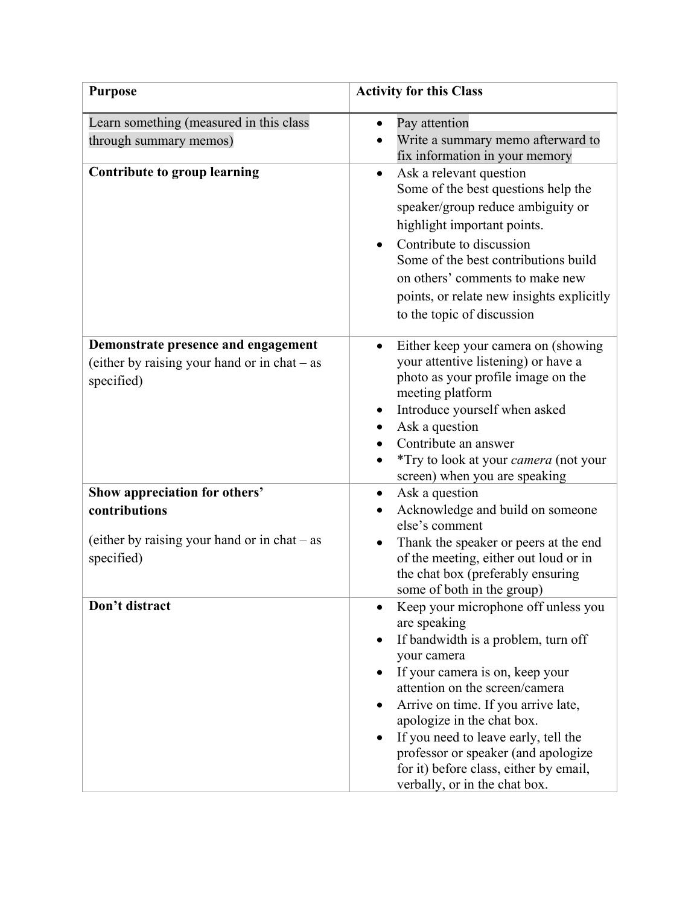| <b>Purpose</b>                                                                                               | <b>Activity for this Class</b>                                                                                                                                                                                                                                                                                                                                                                                                          |
|--------------------------------------------------------------------------------------------------------------|-----------------------------------------------------------------------------------------------------------------------------------------------------------------------------------------------------------------------------------------------------------------------------------------------------------------------------------------------------------------------------------------------------------------------------------------|
| Learn something (measured in this class<br>through summary memos)<br><b>Contribute to group learning</b>     | Pay attention<br>$\bullet$<br>Write a summary memo afterward to<br>fix information in your memory<br>Ask a relevant question<br>$\bullet$<br>Some of the best questions help the<br>speaker/group reduce ambiguity or<br>highlight important points.<br>Contribute to discussion<br>Some of the best contributions build<br>on others' comments to make new<br>points, or relate new insights explicitly<br>to the topic of discussion  |
| Demonstrate presence and engagement<br>(either by raising your hand or in $chat - as$<br>specified)          | Either keep your camera on (showing<br>your attentive listening) or have a<br>photo as your profile image on the<br>meeting platform<br>Introduce yourself when asked<br>٠<br>Ask a question<br>Contribute an answer<br>*Try to look at your camera (not your<br>screen) when you are speaking                                                                                                                                          |
| Show appreciation for others'<br>contributions<br>(either by raising your hand or in chat - as<br>specified) | Ask a question<br>$\bullet$<br>Acknowledge and build on someone<br>else's comment<br>Thank the speaker or peers at the end<br>$\bullet$<br>of the meeting, either out loud or in<br>the chat box (preferably ensuring<br>some of both in the group)                                                                                                                                                                                     |
| Don't distract                                                                                               | Keep your microphone off unless you<br>are speaking<br>If bandwidth is a problem, turn off<br>your camera<br>If your camera is on, keep your<br>$\bullet$<br>attention on the screen/camera<br>Arrive on time. If you arrive late,<br>$\bullet$<br>apologize in the chat box.<br>If you need to leave early, tell the<br>professor or speaker (and apologize<br>for it) before class, either by email,<br>verbally, or in the chat box. |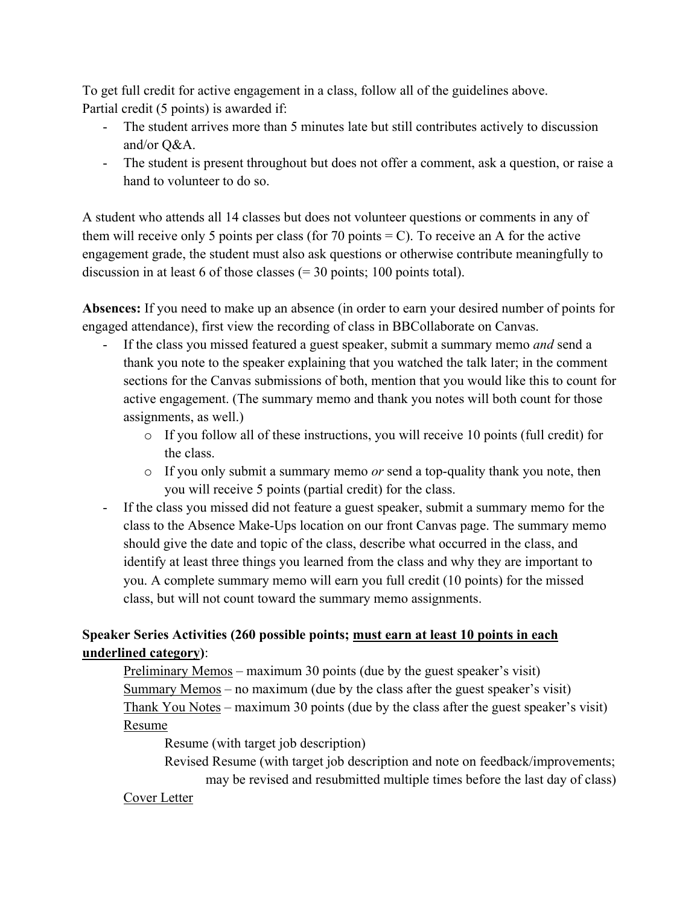To get full credit for active engagement in a class, follow all of the guidelines above. Partial credit (5 points) is awarded if:

- The student arrives more than 5 minutes late but still contributes actively to discussion and/or Q&A.
- The student is present throughout but does not offer a comment, ask a question, or raise a hand to volunteer to do so.

A student who attends all 14 classes but does not volunteer questions or comments in any of them will receive only 5 points per class (for 70 points  $= C$ ). To receive an A for the active engagement grade, the student must also ask questions or otherwise contribute meaningfully to discussion in at least 6 of those classes  $(= 30 \text{ points}; 100 \text{ points total}).$ 

**Absences:** If you need to make up an absence (in order to earn your desired number of points for engaged attendance), first view the recording of class in BBCollaborate on Canvas.

- If the class you missed featured a guest speaker, submit a summary memo *and* send a thank you note to the speaker explaining that you watched the talk later; in the comment sections for the Canvas submissions of both, mention that you would like this to count for active engagement. (The summary memo and thank you notes will both count for those assignments, as well.)
	- $\circ$  If you follow all of these instructions, you will receive 10 points (full credit) for the class.
	- o If you only submit a summary memo *or* send a top-quality thank you note, then you will receive 5 points (partial credit) for the class.
- If the class you missed did not feature a guest speaker, submit a summary memo for the class to the Absence Make-Ups location on our front Canvas page. The summary memo should give the date and topic of the class, describe what occurred in the class, and identify at least three things you learned from the class and why they are important to you. A complete summary memo will earn you full credit (10 points) for the missed class, but will not count toward the summary memo assignments.

# **Speaker Series Activities (260 possible points; must earn at least 10 points in each underlined category)**:

 Preliminary Memos – maximum 30 points (due by the guest speaker's visit) Summary Memos – no maximum (due by the class after the guest speaker's visit) Thank You Notes – maximum 30 points (due by the class after the guest speaker's visit) Resume

Resume (with target job description)

 Revised Resume (with target job description and note on feedback/improvements; may be revised and resubmitted multiple times before the last day of class)

# Cover Letter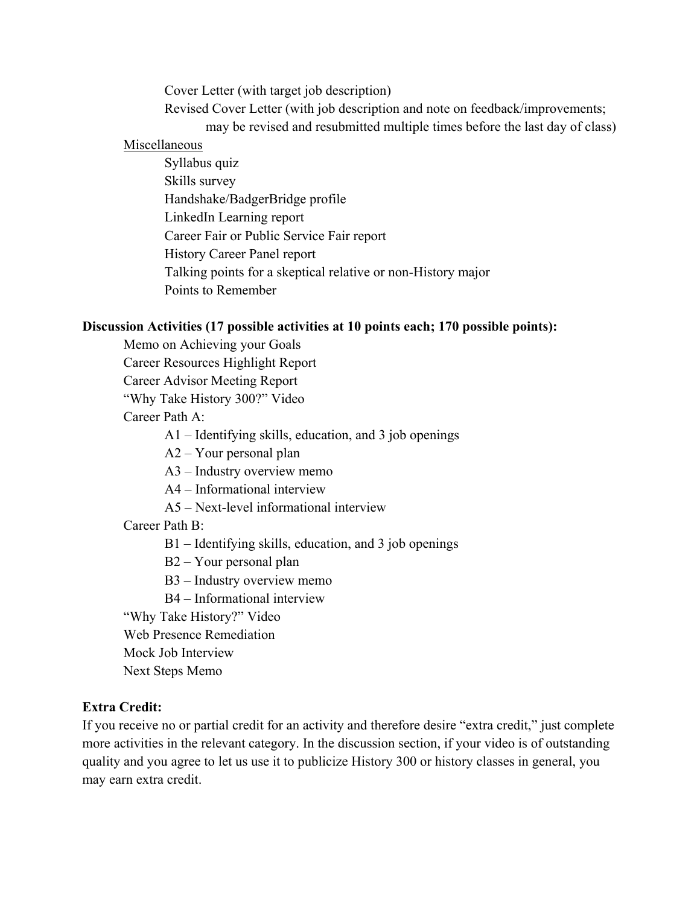Cover Letter (with target job description)

Revised Cover Letter (with job description and note on feedback/improvements;

may be revised and resubmitted multiple times before the last day of class)

#### Miscellaneous

 Syllabus quiz Skills survey Handshake/BadgerBridge profile LinkedIn Learning report Career Fair or Public Service Fair report History Career Panel report Talking points for a skeptical relative or non-History major Points to Remember

### **Discussion Activities (17 possible activities at 10 points each; 170 possible points):**

- Memo on Achieving your Goals
- Career Resources Highlight Report
- Career Advisor Meeting Report
- "Why Take History 300?" Video

### Career Path A:

A1 – Identifying skills, education, and 3 job openings

- A2 Your personal plan
- A3 Industry overview memo
- A4 Informational interview
- A5 Next-level informational interview

# Career Path B:

- B1 Identifying skills, education, and 3 job openings
- B2 Your personal plan
- B3 Industry overview memo
- B4 Informational interview
- "Why Take History?" Video

Web Presence Remediation

- Mock Job Interview
- Next Steps Memo

# **Extra Credit:**

If you receive no or partial credit for an activity and therefore desire "extra credit," just complete more activities in the relevant category. In the discussion section, if your video is of outstanding quality and you agree to let us use it to publicize History 300 or history classes in general, you may earn extra credit.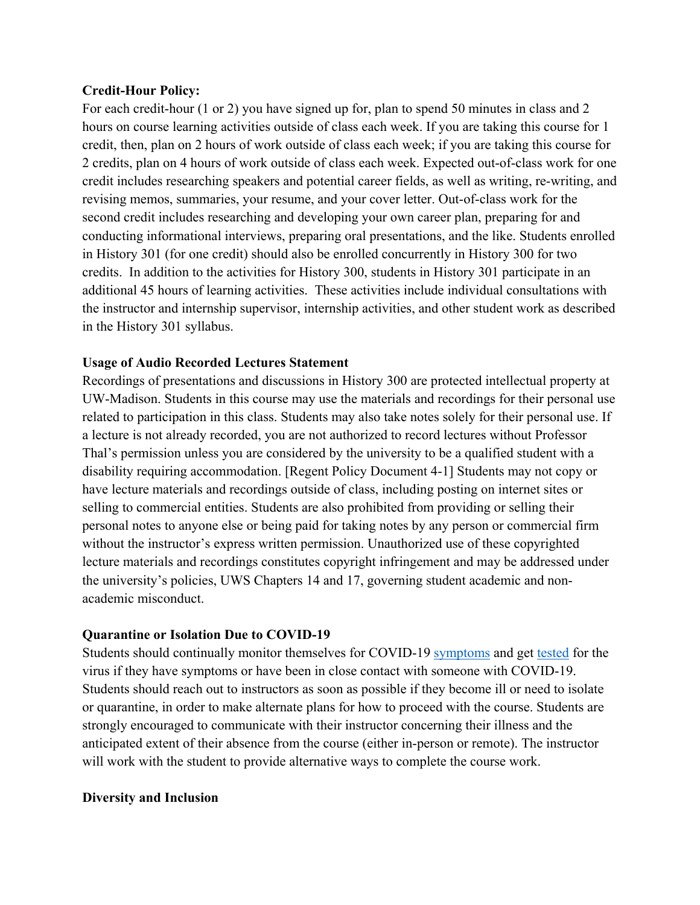#### **Credit-Hour Policy:**

For each credit-hour (1 or 2) you have signed up for, plan to spend 50 minutes in class and 2 hours on course learning activities outside of class each week. If you are taking this course for 1 credit, then, plan on 2 hours of work outside of class each week; if you are taking this course for 2 credits, plan on 4 hours of work outside of class each week. Expected out-of-class work for one credit includes researching speakers and potential career fields, as well as writing, re-writing, and revising memos, summaries, your resume, and your cover letter. Out-of-class work for the second credit includes researching and developing your own career plan, preparing for and conducting informational interviews, preparing oral presentations, and the like. Students enrolled in History 301 (for one credit) should also be enrolled concurrently in History 300 for two credits. In addition to the activities for History 300, students in History 301 participate in an additional 45 hours of learning activities. These activities include individual consultations with the instructor and internship supervisor, internship activities, and other student work as described in the History 301 syllabus.

#### **Usage of Audio Recorded Lectures Statement**

Recordings of presentations and discussions in History 300 are protected intellectual property at UW-Madison. Students in this course may use the materials and recordings for their personal use related to participation in this class. Students may also take notes solely for their personal use. If a lecture is not already recorded, you are not authorized to record lectures without Professor Thal's permission unless you are considered by the university to be a qualified student with a disability requiring accommodation. [Regent Policy Document 4-1] Students may not copy or have lecture materials and recordings outside of class, including posting on internet sites or selling to commercial entities. Students are also prohibited from providing or selling their personal notes to anyone else or being paid for taking notes by any person or commercial firm without the instructor's express written permission. Unauthorized use of these copyrighted lecture materials and recordings constitutes copyright infringement and may be addressed under the university's policies, UWS Chapters 14 and 17, governing student academic and nonacademic misconduct.

#### **Quarantine or Isolation Due to COVID-19**

Students should continually monitor themselves for COVID-19 symptoms and get tested for the virus if they have symptoms or have been in close contact with someone with COVID-19. Students should reach out to instructors as soon as possible if they become ill or need to isolate or quarantine, in order to make alternate plans for how to proceed with the course. Students are strongly encouraged to communicate with their instructor concerning their illness and the anticipated extent of their absence from the course (either in-person or remote). The instructor will work with the student to provide alternative ways to complete the course work.

#### **Diversity and Inclusion**